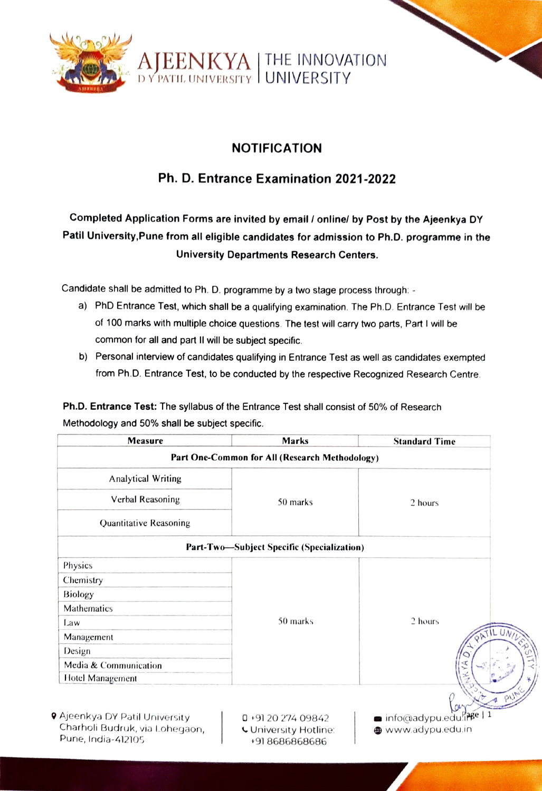

### NOTIFICATION

## Ph. D. Entrance Examination 2021-2022

## Completed Application Forms are invited by email/ onlinel by Post by the Ajeenkya DY Patil University, Pune from all eligible candidates for admission to Ph.D. programme in the University Departments Research Centers.

Candidate shall be admitted to Ph. D. programme by a two stage process through: -

- a) PhD Entrance Test, which shall be a qualifying examination. The Ph.D. Entrance Test will be of 100 marks with multiple choice questions. The test will carry two parts, Part I will be common for all and part II will be subject specific.
- b) Personal interview of candidates qualifying in Entrance Test as well as candidates exempted from Ph.D. Entrance Test, to be conducted by the respective Recognized Research Centre

Ph.D. Entrance Test: The syllabus of the Entrance Test shall consist of 50% of Research Methodology and 50% shall be subject specific.

| <b>Measure</b>                                                                                | <b>Marks</b>                                                      | <b>Standard Time</b>                 |
|-----------------------------------------------------------------------------------------------|-------------------------------------------------------------------|--------------------------------------|
|                                                                                               | Part One-Common for All (Research Methodology)                    |                                      |
| Analytical Writing                                                                            | 50 marks                                                          | 2 hours                              |
| Verbal Reasoning                                                                              |                                                                   |                                      |
| Quantitative Reasoning                                                                        |                                                                   |                                      |
|                                                                                               | Part-Two-Subject Specific (Specialization)                        |                                      |
| Physics                                                                                       | 50 marks                                                          | 2 hours<br>C                         |
| Chemistry                                                                                     |                                                                   |                                      |
| <b>Biology</b>                                                                                |                                                                   |                                      |
| Mathematics                                                                                   |                                                                   |                                      |
| Law                                                                                           |                                                                   |                                      |
| Management                                                                                    |                                                                   |                                      |
| Design                                                                                        |                                                                   |                                      |
| Media & Communication                                                                         |                                                                   |                                      |
| <b>Hotel Management</b>                                                                       |                                                                   |                                      |
| <b>9</b> Ajeenkya DY Patil University<br>Charholi Budruk, via Lohegaon,<br>Pune, India-412105 | $\Box$ +91 20 274 09842<br>University Hotline:<br>$+918686868686$ | nfo@adypu.edu.ne<br>www.adypu.edu.in |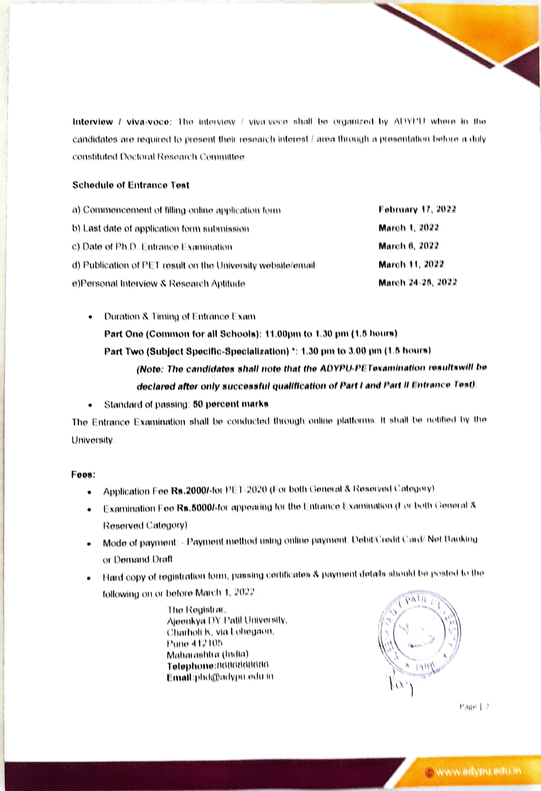Interview / viva-voce: The interview / viva-voce shall be organized by ADYPU where in the candidates are required to present their research interest / area through a presentation before a duly constituted Doctoral Research Committee

#### **Schedule of Entrance Teat**

| a) Commencement of filling online application form           | <b>February 17, 2022</b> |  |
|--------------------------------------------------------------|--------------------------|--|
| b) Last date of application form submission                  | March 1, 2022            |  |
| c) Date of Ph.D. Entrance Examination                        | March 6, 2022            |  |
| d) Publication of PET result on the University website/email | March 11, 2022           |  |
| e)Personal Interview & Research Aptitude                     | March 24-25, 2022        |  |

Duration & Timing of Entrance Exam Part One (Common for all Schools): 11.00pm to 1.30 pm (1.5 hours) Part Two (Subject Specific-Specialization) \*: 1.30 pm to 3.00 pm (1.5 hours) (Note: The candidates shall note that the ADYPU-PETexamination resultswill be declared after only successful qualification of Part I and Part II Entrance Test).

Standard of passing: 50 percent marks  $\bullet$ 

The Entrance Examination shall be conducted through online platforms. It shall be notified by the University.

#### Fees:

- Application Fee Rs.2000/-for PET-2020 (For both General & Reserved Category)  $\bullet$
- Examination Fee Rs.5000/-for appearing for the Entrance Examination (For both General & Reserved Category)
- Mode of payment: Payment method using online payment. Debit/Credit Card/ Net Banking or Demand Draft
- Hard copy of registration form, passing certificates & payment details should be posted to the following on or before March 1, 2022

The Registrar, Ajeenkya DY Patil University, Charholi K, via Lohegaon, Pune 412105 Maharashtra (India) Telephone:8686868686 Email:phd@adypu.edu.in



 $k + 9$